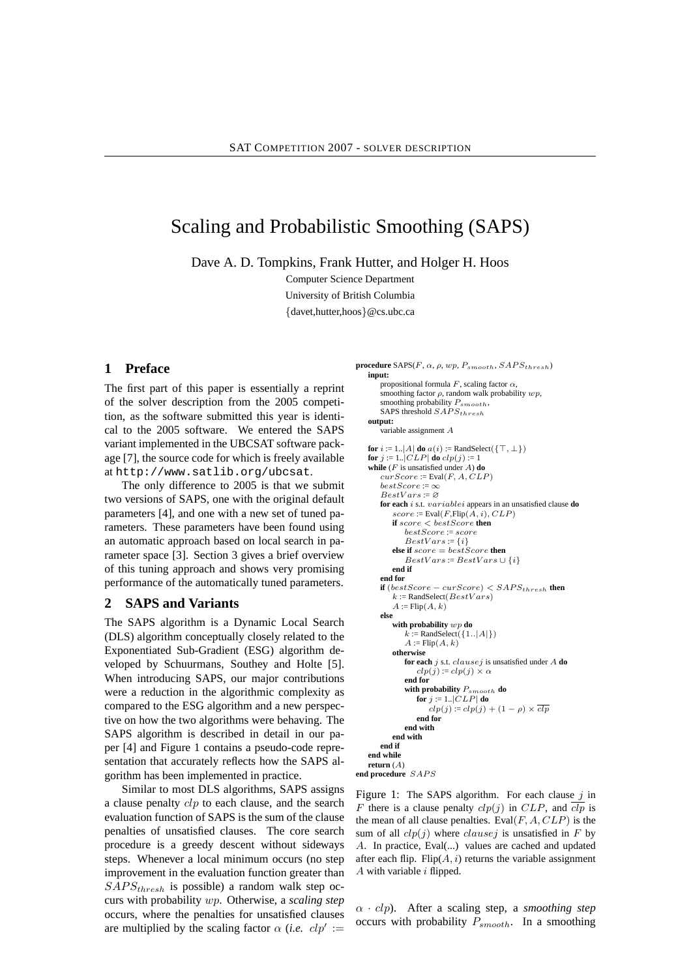# Scaling and Probabilistic Smoothing (SAPS)

Dave A. D. Tompkins, Frank Hutter, and Holger H. Hoos

Computer Science Department University of British Columbia {davet,hutter,hoos}@cs.ubc.ca

## **1 Preface**

The first part of this paper is essentially a reprint of the solver description from the 2005 competition, as the software submitted this year is identical to the 2005 software. We entered the SAPS variant implemented in the UBCSAT software package [7], the source code for which is freely available at http://www.satlib.org/ubcsat.

The only difference to 2005 is that we submit two versions of SAPS, one with the original default parameters [4], and one with a new set of tuned parameters. These parameters have been found using an automatic approach based on local search in parameter space [3]. Section 3 gives a brief overview of this tuning approach and shows very promising performance of the automatically tuned parameters.

# **2 SAPS and Variants**

The SAPS algorithm is a Dynamic Local Search (DLS) algorithm conceptually closely related to the Exponentiated Sub-Gradient (ESG) algorithm developed by Schuurmans, Southey and Holte [5]. When introducing SAPS, our major contributions were a reduction in the algorithmic complexity as compared to the ESG algorithm and a new perspective on how the two algorithms were behaving. The SAPS algorithm is described in detail in our paper [4] and Figure 1 contains a pseudo-code representation that accurately reflects how the SAPS algorithm has been implemented in practice.

Similar to most DLS algorithms, SAPS assigns a clause penalty clp to each clause, and the search evaluation function of SAPS is the sum of the clause penalties of unsatisfied clauses. The core search procedure is a greedy descent without sideways steps. Whenever a local minimum occurs (no step improvement in the evaluation function greater than  $SAPS_{thresh}$  is possible) a random walk step occurs with probability wp. Otherwise, a *scaling step* occurs, where the penalties for unsatisfied clauses are multiplied by the scaling factor  $\alpha$  (*i.e.*  $clp' :=$ 

```
procedure SAPS(F, \alpha, \rho, wp, P_{smooth}, SAPS_{threshold})
    input:
       propositional formula F, scaling factor \alphasmoothing factor \rho, random walk probability wp,
       smoothing probability P_{smooth},
       SAPS threshold SAPS_{thresh}output:
        variable assignment \overline{A}for i := 1..|A| do a(i) :=RandSelect({\top, \perp})
    for j := 1..|CLP| do clp(j) := 1while (F is unsatisfied under A) do
        curScore := Eval(F, A, CLP)
        bestScore := \inftyBestVars \coloneqq \varnothingfor each i s.t. variablei appears in an unsatisfied clause do
           score := \text{Eval}(F, \text{Flip}(A, i), CLP)if score < bestScore then
               bestScore := score
               BestVars := \{i\}else if score = bestScore then
               BestVars := BestVars \cup \{i\}end if
        end for
        if (bestScore - curScore) < SAPS_{threshold} then
           k :=RandSelect(BestVars)
           A := Flip(A, k)else
           with probability wp do
               k := \text{RandSelect}(\{1..|A|\})<br>
A := \text{flip}(A, k)otherwise
               for each j s.t. clausej is unsatisfied under A do
                  clp(j) := clp(j) \times \alphaend for
               with probability Psmooth do
                  for j := 1...|CLP| do
                     clp(j) := clp(j) + (1 - \rho) \times \overline{clp}end for
               end with
           end with
        end if
    end while
    return (A)
end procedure SAPSFigure 1: The SAPS algorithm. For each clause i in
```
F there is a clause penalty  $clp(i)$  in CLP, and  $\overline{clp}$  is the mean of all clause penalties. Eval $(F, A, CLP)$  is the sum of all  $clp(j)$  where *clausej* is unsatisfied in F by A. In practice, Eval(...) values are cached and updated after each flip. Flip $(A, i)$  returns the variable assignment  $A$  with variable  $i$  flipped.

α · clp). After a scaling step, a *smoothing step* occurs with probability  $P_{smooth}$ . In a smoothing